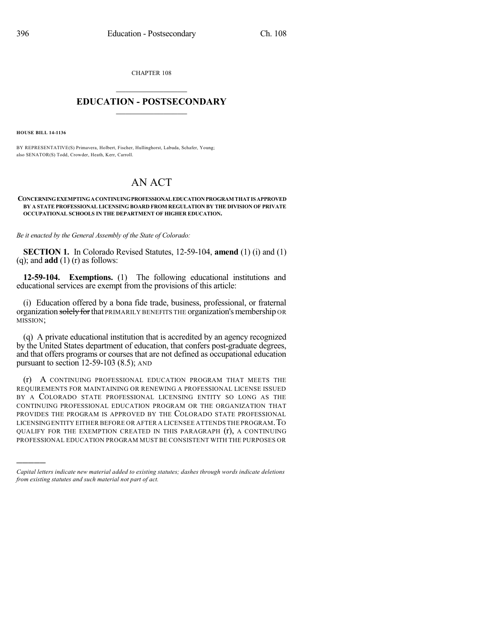CHAPTER 108

## $\overline{\phantom{a}}$  . The set of the set of the set of the set of the set of the set of the set of the set of the set of the set of the set of the set of the set of the set of the set of the set of the set of the set of the set o **EDUCATION - POSTSECONDARY**  $\_$   $\_$   $\_$   $\_$   $\_$   $\_$   $\_$   $\_$   $\_$

**HOUSE BILL 14-1136**

)))))

BY REPRESENTATIVE(S) Primavera, Holbert, Fischer, Hullinghorst, Labuda, Schafer, Young; also SENATOR(S) Todd, Crowder, Heath, Kerr, Carroll.

## AN ACT

## **CONCERNINGEXEMPTINGACONTINUINGPROFESSIONALEDUCATIONPROGRAM THATIS APPROVED BY A STATE PROFESSIONAL LICENSING BOARD FROM REGULATION BY THE DIVISION OF PRIVATE OCCUPATIONAL SCHOOLS IN THE DEPARTMENT OF HIGHER EDUCATION.**

*Be it enacted by the General Assembly of the State of Colorado:*

**SECTION 1.** In Colorado Revised Statutes, 12-59-104, **amend** (1) (i) and (1) (q); and **add** (1) (r) as follows:

**12-59-104. Exemptions.** (1) The following educational institutions and educational services are exempt from the provisions of this article:

(i) Education offered by a bona fide trade, business, professional, or fraternal organization solely for that PRIMARILY BENEFITS THE organization's membership OR MISSION;

(q) A private educational institution that is accredited by an agency recognized by the United States department of education, that confers post-graduate degrees, and that offers programs or courses that are not defined as occupational education pursuant to section 12-59-103 (8.5); AND

(r) A CONTINUING PROFESSIONAL EDUCATION PROGRAM THAT MEETS THE REQUIREMENTS FOR MAINTAINING OR RENEWING A PROFESSIONAL LICENSE ISSUED BY A COLORADO STATE PROFESSIONAL LICENSING ENTITY SO LONG AS THE CONTINUING PROFESSIONAL EDUCATION PROGRAM OR THE ORGANIZATION THAT PROVIDES THE PROGRAM IS APPROVED BY THE COLORADO STATE PROFESSIONAL LICENSINGENTITY EITHER BEFORE OR AFTER A LICENSEE ATTENDS THE PROGRAM.TO QUALIFY FOR THE EXEMPTION CREATED IN THIS PARAGRAPH (r), A CONTINUING PROFESSIONAL EDUCATION PROGRAM MUST BE CONSISTENT WITH THE PURPOSES OR

*Capital letters indicate new material added to existing statutes; dashes through words indicate deletions from existing statutes and such material not part of act.*